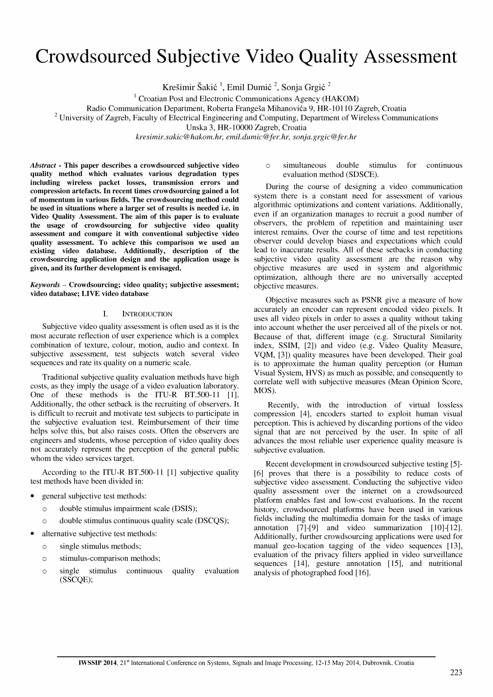# Crowdsourced Subjective Video Quality Assessment

Krešimir Šakić<sup>1</sup>, Emil Dumić<sup>2</sup>, Sonja Grgić<sup>2</sup>

 $1$  Croatian Post and Electronic Communications Agency (HAKOM)

Radio Communication Department, Roberta Frangeša Mihanovića 9, HR-10110 Zagreb, Croatia

<sup>2</sup> University of Zagreb, Faculty of Electrical Engineering and Computing, Department of Wireless Communications

Unska 3, HR-I 0000 Zagreb, Croatia

kresimir.sakic@hakom.hr, emil. dumic@fer.hr, sonja.g rgic@fer.hr

Abstract - This paper describes a crowdsourced subjective video quality method which evaluates various degradation types including wireless packet losses, transmission errors and compression artefacts. In recent times crowdsourcing gained a lot of momentum in various fields. The crowdsourcing method could be used in situations where a larger set of results is needed i.e. in Video Quality Assessment. The aim of this paper is to evaluate the usage of crowdsourcing for subjective video quality assessment and compare it with conventional subjective video quality assessment. To achieve this comparison we used an existing video database. Additionally, description of the crowdsourcing application design and the application usage is given, and its further development is envisaged.

Keywords - Crowdsourcing; video quality; subjective assesment; video database; LIVE video database

# I. INTRODUCTION

Subjective video quality assessment is often used as it is the most accurate reflection of user experience which is a complex combination of texture, colour, motion, audio and context. In subjective assessment, test subjects watch several video sequences and rate its quality on a numeric scale.

Traditional subjective quality evaluation methods have high costs, as they imply the usage of a video evaluation laboratory. One of these methods is the ITU-R BT.500-11 [1]. Additionally, the other setback is the recruiting of observers. It is difficult to recruit and motivate test subjects to participate in the subjective evaluation test. Reimbursement of their time helps solve this, but also raises costs. Often the observers are engineers and students, whose perception of video quality does not accurately represent the perception of the general public whom the video services target.

According to the ITU-R BT.SOO-II [1] subjective quality test methods have been divided in:

- general subjective test methods:
	- <sup>o</sup>double stimulus impairment scale (DSIS);
	- $\circ$  double stimulus continuous quality scale (DSCQS);
- alternative subjective test methods:
	- $\circ$  single stimulus methods;
	- o stimulus-comparison methods;
	- <sup>o</sup>single stimulus continuous quality evaluation (SSCQE);

## <sup>o</sup>simultaneous double stimulus for continuous evaluation method (SDSCE).

During the course of designing a video communication system there is a constant need for assessment of various algorithmic optimizations and content variations. Additionally, even if an organization manages to recruit a good number of observers, the problem of repetition and maintaining user interest remains. Over the course of time and test repetitions observer could develop biases and expectations which could lead to inaccurate results. All of these setbacks in conducting subjective video quality assessment are the reason why objective measures are used in system and algorithmic optimization, although there are no universally accepted objective measures.

Objective measures such as PSNR give a measure of how accurately an encoder can represent encoded video pixels. It uses all video pixels in order to asses a quality without taking into account whether the user perceived all of the pixels or not. Because of that, different image (e.g. Structural Similarity index, SSIM, [2]) and video (e.g. Video Quality Measure, VQM, [3]) quality measures have been developed. Their goal is to approximate the human quality perception (or Human Visual System, HVS) as much as possible, and consequently to correlate well with subjective measures (Mean Opinion Score, MOS).

Recently, with the introduction of virtual lossless compression [4], encoders started to exploit human visual perception. This is achieved by discarding portions of the video signal that are not perceived by the user. In spite of all advances the most reliable user experience quality measure is subjective evaluation.

Recent development in crowdsourced subjective testing [5]-[6] proves that there is a possibility to reduce costs of subjective video assessment. Conducting the subjective video quality assessment over the internet on a crowdsourced platform enables fast and low-cost evaluations. In the recent history, crowdsourced platforms have been used in various fields including the multimedia domain for the tasks of image annotation  $[7]-[9]$  and video summarization  $[10]-[12]$ . Additionally, further crowdsourcing applications were used for manual geo-Iocation tagging of the video sequences [13], evaluation of the privacy filters applied in video surveillance sequences [14], gesture annotation [IS], and nutritional analysis of photographed food [16].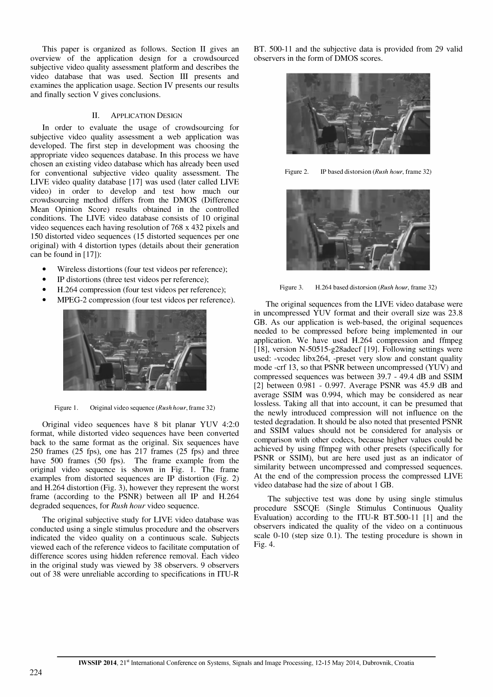This paper is organized as follows. Section II gives an overview of the application design for a crowdsourced subjective video quality assessment platform and describes the video database that was used. Section III presents and examines the application usage. Section IV presents our results and finally section V gives conclusions.

## II. ApPLICATION DESIGN

In order to evaluate the usage of crowdsourcing for subjective video quality assessment a web application was developed. The first step in development was choosing the appropriate video sequences database. In this process we have chosen an existing video database which has already been used for conventional subjective video quality assessment. The LIVE video quality database [17] was used (later called LIVE video) in order to develop and test how much our crowd sourcing method differs from the DMOS (Difference Mean Opinion Score) results obtained in the controlled conditions. The LIVE video database consists of 10 original video sequences each having resolution of 768 x 432 pixels and 150 distorted video sequences (15 distorted sequences per one original) with 4 distortion types (details about their generation can be found in [17]):

- Wireless distortions (four test videos per reference);
- IP distortions (three test videos per reference);
- H.264 compression (four test videos per reference);
- MPEG-2 compression (four test videos per reference).



Figure 1. Original video sequence (Rush hour, frame 32)

Original video sequences have 8 bit planar YUV 4:2:0 format, while distorted video sequences have been converted back to the same format as the original. Six sequences have 250 frames (25 fps), one has 217 frames (25 fps) and three have 500 frames (50 fps). The frame example from the original video sequence is shown in Fig. 1. The frame examples from distorted sequences are IP distortion (Fig. 2) and H.264 distortion (Fig. 3), however they represent the worst frame (according to the PSNR) between all IP and H.264 degraded sequences, for Rush hour video sequence.

The original subjective study for LIVE video database was conducted using a single stimulus procedure and the observers indicated the video quality on a continuous scale. Subjects viewed each of the reference videos to facilitate computation of difference scores using hidden reference removal. Each video in the original study was viewed by 38 observers. 9 observers out of 38 were unreliable according to specifications in ITU-R

BT. 500-11 and the subjective data is provided from 29 valid observers in the form of DMOS scores.



Figure 2. IP based distorsion (Rush hour, frame 32)



Figure 3. H.264 based distorsion (Rush hour, frame 32)

The original sequences from the LIVE video database were in uncompressed YUV format and their overall size was 23.8 GB. As our application is web-based, the original sequences needed to be compressed before being implemented in our application. We have used H.264 compression and ffmpeg [18], version N-50515-g28adecf [19]. Following settings were used: -vcodec Iibx264, -preset very slow and constant quality mode -crf 13, so that PSNR between uncompressed (YUV) and compressed sequences was between 39.7 - 49.4 dB and SSIM [2] between 0.981 - 0.997. Average PSNR was 45.9 dB and average SSIM was 0.994, which may be considered as near lossless. Taking all that into account, it can be presumed that the newly introduced compression will not influence on the tested degradation. It should be also noted that presented PSNR and SSIM values should not be considered for analysis or comparison with other codecs, because higher values could be achieved by using ffmpeg with other presets (specifically for PSNR or SSIM), but are here used just as an indicator of similarity between uncompressed and compressed sequences. At the end of the compression process the compressed LIVE video database had the size of about 1 GB.

The subjective test was done by using single stimulus procedure SSCQE (Single Stimulus Continuous Quality Evaluation) according to the ITU-R BT.500-11 [1] and the observers indicated the quality of the video on a continuous scale 0-10 (step size 0.1). The testing procedure is shown in Fig. 4.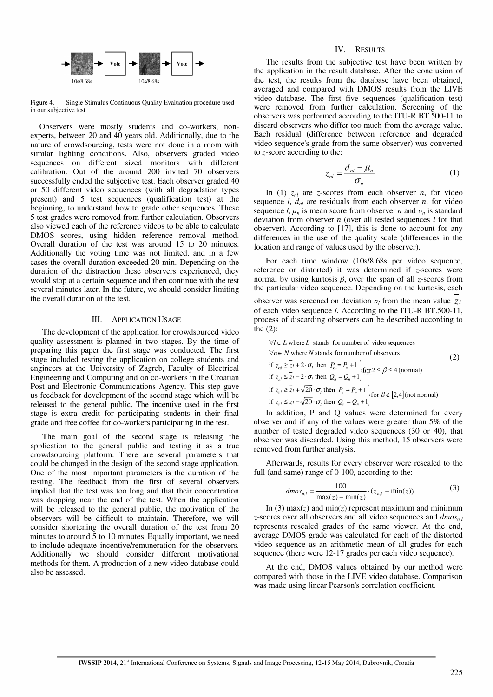

Figure 4. Single Stimulus Continuous Quality Evaluation procedure used in our subjective test

Observers were mostly students and co-workers, nonexperts, between 20 and 40 years old. Additionally, due to the nature of crowdsourcing, tests were not done in a room with similar lighting conditions. Also, observers graded video sequences on different sized monitors with different calibration. Out of the around 200 invited 70 observers successfully ended the subjective test. Each observer graded 40 or 50 different video sequences (with all degradation types present) and 5 test sequences (qualification test) at the beginning, to understand how to grade other sequences. These 5 test grades were removed from further calculation. Observers also viewed each of the reference videos to be able to calculate DMOS scores, using hidden reference removal method. Overall duration of the test was around 15 to 20 minutes. Additionally the voting time was not limited, and in a few cases the overall duration exceeded 20 min. Depending on the duration of the distraction these observers experienced, they would stop at a certain sequence and then continue with the test several minutes later. In the future, we should consider limiting the overall duration of the test.

# III. APPLICATION USAGE

The development of the application for crowdsourced video quality assessment is planned in two stages. By the time of preparing this paper the first stage was conducted. The first stage included testing the application on college students and engineers at the University of Zagreb, Faculty of Electrical Engineering and Computing and on co-workers in the Croatian Post and Electronic Communications Agency. This step gave us feedback for development of the second stage which will be released to the general public. The incentive used in the first stage is extra credit for participating students in their final grade and free coffee for co-workers participating in the test.

The main goal of the second stage is releasing the application to the general public and testing it as a true crowdsourcing platform. There are several parameters that could be changed in the design of the second stage application. One of the most important parameters is the duration of the testing. The feedback from the first of several observers implied that the test was too long and that their concentration was dropping near the end of the test. When the application will be released to the general public, the motivation of the observers will be difficult to maintain. Therefore, we will consider shortening the overall duration of the test from 20 minutes to around 5 to 10 minutes. Equally important, we need to include adequate incentive/remuneration for the observers. Additionally we should consider different motivational methods for them. A production of a new video database could also be assessed.

## IV. RESULTS

The results from the subjective test have been written by the application in the result database. After the conclusion of the test, the results from the database have been obtained, averaged and compared with DMOS results from the LIVE video database. The first five sequences (qualification test) were removed from further calculation. Screening of the observers was performed according to the ITU-R BT.500-11 to discard observers who differ too much from the average value. Each residual (difference between reference and degraded video sequence's grade from the same observer) was converted to z-score according to the:

$$
z_{nl} = \frac{d_{nl} - \mu_n}{\sigma_n} \tag{1}
$$

In (1)  $z_{nl}$  are z-scores from each observer *n*, for video sequence *l*,  $d_{nl}$  are residuals from each observer *n*, for video sequence  $l, \mu_n$  is mean score from observer n and  $\sigma_n$  is standard deviation from observer  $n$  (over all tested sequences  $l$  for that observer). According to [17], this is done to account for any differences in the use of the quality scale (differences in the location and range of values used by the observer).

For each time window (10s/8.68s per video sequence, reference or distorted) it was determined if z-scores were normal by using kurtosis  $\beta$ , over the span of all z-scores from the particular video sequence. Depending on the kurtosis, each

observer was screened on deviation  $\sigma_l$  from the mean value  $\mathcal{Z}_l$ of each video sequence l. According to the ITU-R BT.500-11, process of discarding observers can be described according to the (2):

$$
\forall l \in L \text{ where } L \text{ stands for number of video sequences}
$$
  
\n
$$
\forall n \in N \text{ where } N \text{ stands for number of observers}
$$
  
\nif  $z_{nl} \geq \frac{1}{2} + 2 \cdot \sigma_l$  then  $P_{n} = P_n + 1$   
\nif  $z_{nl} \leq \frac{1}{2} - 2 \cdot \sigma_l$  then  $Q_n = Q_n + 1$   
\nif  $z_{nl} \geq \frac{1}{2} + \sqrt{20} \cdot \sigma_l$  then  $P_n = P_n + 1$   
\nif  $z_{nl} \geq \frac{1}{2} + \sqrt{20} \cdot \sigma_l$  then  $P_n = P_n + 1$   
\nif  $z_{nl} \leq \frac{1}{2} - \sqrt{20} \cdot \sigma_l$  then  $Q_n = Q_n + 1$  for  $\beta \notin [2, 4]$  (not normal)

In addition, P and Q values were determined for every observer and if any of the values were greater than 5% of the number of tested degraded video sequences (30 or 40), that observer was discarded. Using this method, 15 observers were removed from further analysis.

Afterwards, results for every observer were rescaled to the full (and same) range of 0-100, according to the:

$$
dmos_{n,l} = \frac{100}{\max(z) - \min(z)} \cdot (z_{n,l} - \min(z))
$$
 (3)

In (3) max(z) and min(z) represent maximum and minimum z-scores over all observers and all video sequences and  $dmos_{n,l}$ represents rescaled grades of the same viewer. At the end, average DMOS grade was calculated for each of the distorted video sequence as an arithmetic mean of all grades for each sequence (there were 12-17 grades per each video sequence).

At the end, DMOS values obtained by our method were compared with those in the LIVE video database. Comparison was made using linear Pearson's correlation coefficient.